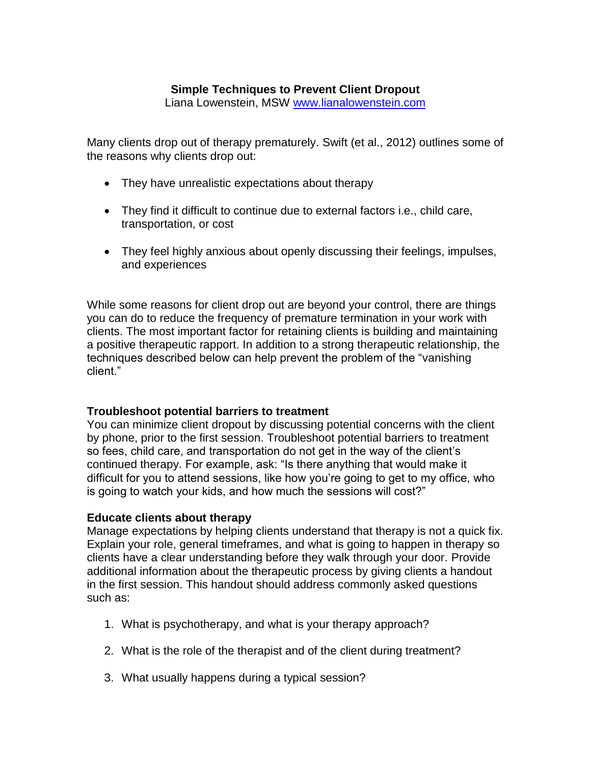## **Simple Techniques to Prevent Client Dropout**

Liana Lowenstein, MSW [www.lianalowenstein.com](http://www.lianalowenstein.com/)

Many clients drop out of therapy prematurely. Swift (et al., 2012) outlines some of the reasons why clients drop out:

- They have unrealistic expectations about therapy
- They find it difficult to continue due to external factors i.e., child care, transportation, or cost
- They feel highly anxious about openly discussing their feelings, impulses, and experiences

While some reasons for client drop out are beyond your control, there are things you can do to reduce the frequency of premature termination in your work with clients. The most important factor for retaining clients is building and maintaining a positive therapeutic rapport. In addition to a strong therapeutic relationship, the techniques described below can help prevent the problem of the "vanishing client."

### **Troubleshoot potential barriers to treatment**

You can minimize client dropout by discussing potential concerns with the client by phone, prior to the first session. Troubleshoot potential barriers to treatment so fees, child care, and transportation do not get in the way of the client's continued therapy. For example, ask: "Is there anything that would make it difficult for you to attend sessions, like how you're going to get to my office, who is going to watch your kids, and how much the sessions will cost?"

#### **Educate clients about therapy**

Manage expectations by helping clients understand that therapy is not a quick fix. Explain your role, general timeframes, and what is going to happen in therapy so clients have a clear understanding before they walk through your door. Provide additional information about the therapeutic process by giving clients a handout in the first session. This handout should address commonly asked questions such as:

- 1. What is psychotherapy, and what is your therapy approach?
- 2. What is the role of the therapist and of the client during treatment?
- 3. What usually happens during a typical session?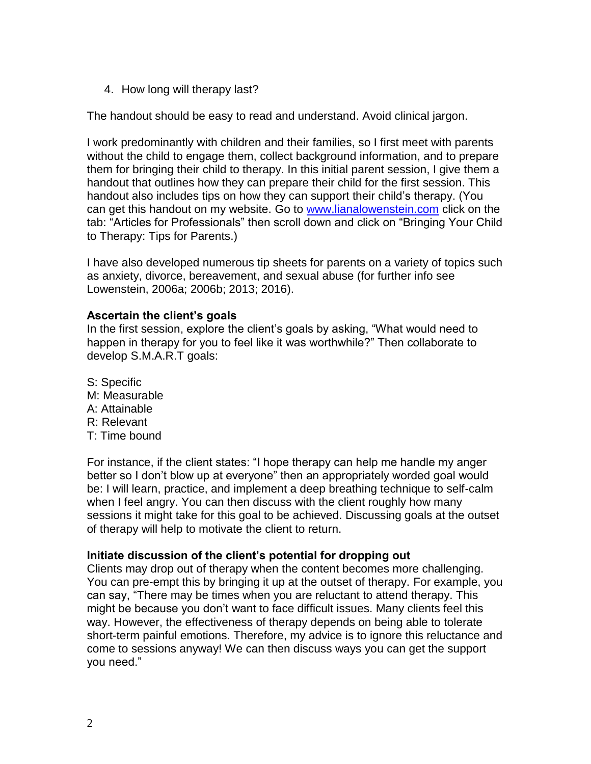4. How long will therapy last?

The handout should be easy to read and understand. Avoid clinical jargon.

I work predominantly with children and their families, so I first meet with parents without the child to engage them, collect background information, and to prepare them for bringing their child to therapy. In this initial parent session, I give them a handout that outlines how they can prepare their child for the first session. This handout also includes tips on how they can support their child's therapy. (You can get this handout on my website. Go to [www.lianalowenstein.com](http://www.lianalowenstein.com/) click on the tab: "Articles for Professionals" then scroll down and click on "Bringing Your Child to Therapy: Tips for Parents.)

I have also developed numerous tip sheets for parents on a variety of topics such as anxiety, divorce, bereavement, and sexual abuse (for further info see Lowenstein, 2006a; 2006b; 2013; 2016).

#### **Ascertain the client's goals**

In the first session, explore the client's goals by asking, "What would need to happen in therapy for you to feel like it was worthwhile?" Then collaborate to develop S.M.A.R.T goals:

- S: Specific
- M: Measurable
- A: Attainable
- R: Relevant
- T: Time bound

For instance, if the client states: "I hope therapy can help me handle my anger better so I don't blow up at everyone" then an appropriately worded goal would be: I will learn, practice, and implement a deep breathing technique to self-calm when I feel angry. You can then discuss with the client roughly how many sessions it might take for this goal to be achieved. Discussing goals at the outset of therapy will help to motivate the client to return.

### **Initiate discussion of the client's potential for dropping out**

Clients may drop out of therapy when the content becomes more challenging. You can pre-empt this by bringing it up at the outset of therapy. For example, you can say, "There may be times when you are reluctant to attend therapy. This might be because you don't want to face difficult issues. Many clients feel this way. However, the effectiveness of therapy depends on being able to tolerate short-term painful emotions. Therefore, my advice is to ignore this reluctance and come to sessions anyway! We can then discuss ways you can get the support you need."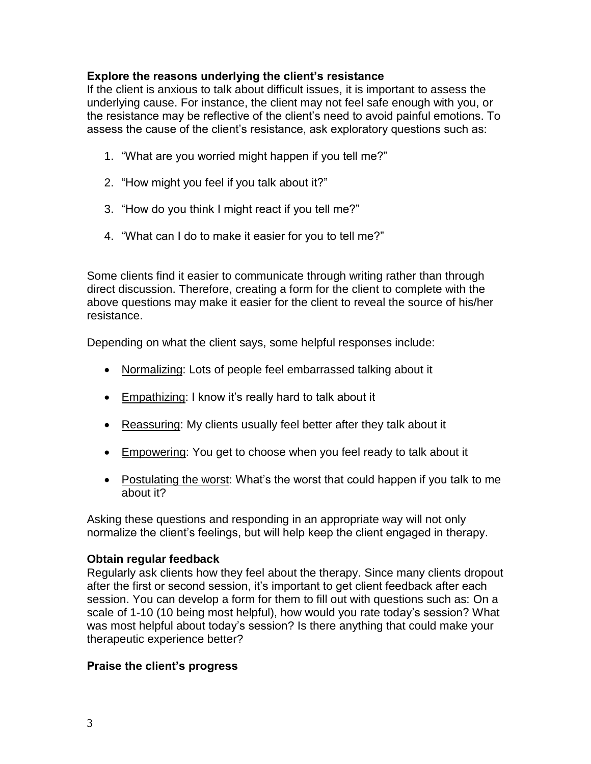## **Explore the reasons underlying the client's resistance**

If the client is anxious to talk about difficult issues, it is important to assess the underlying cause. For instance, the client may not feel safe enough with you, or the resistance may be reflective of the client's need to avoid painful emotions. To assess the cause of the client's resistance, ask exploratory questions such as:

- 1. "What are you worried might happen if you tell me?"
- 2. "How might you feel if you talk about it?"
- 3. "How do you think I might react if you tell me?"
- 4. "What can I do to make it easier for you to tell me?"

Some clients find it easier to communicate through writing rather than through direct discussion. Therefore, creating a form for the client to complete with the above questions may make it easier for the client to reveal the source of his/her resistance.

Depending on what the client says, some helpful responses include:

- Normalizing: Lots of people feel embarrassed talking about it
- **Empathizing: I know it's really hard to talk about it**
- Reassuring: My clients usually feel better after they talk about it
- Empowering: You get to choose when you feel ready to talk about it
- Postulating the worst: What's the worst that could happen if you talk to me about it?

Asking these questions and responding in an appropriate way will not only normalize the client's feelings, but will help keep the client engaged in therapy.

### **Obtain regular feedback**

Regularly ask clients how they feel about the therapy. Since many clients dropout after the first or second session, it's important to get client feedback after each session. You can develop a form for them to fill out with questions such as: On a scale of 1-10 (10 being most helpful), how would you rate today's session? What was most helpful about today's session? Is there anything that could make your therapeutic experience better?

# **Praise the client's progress**